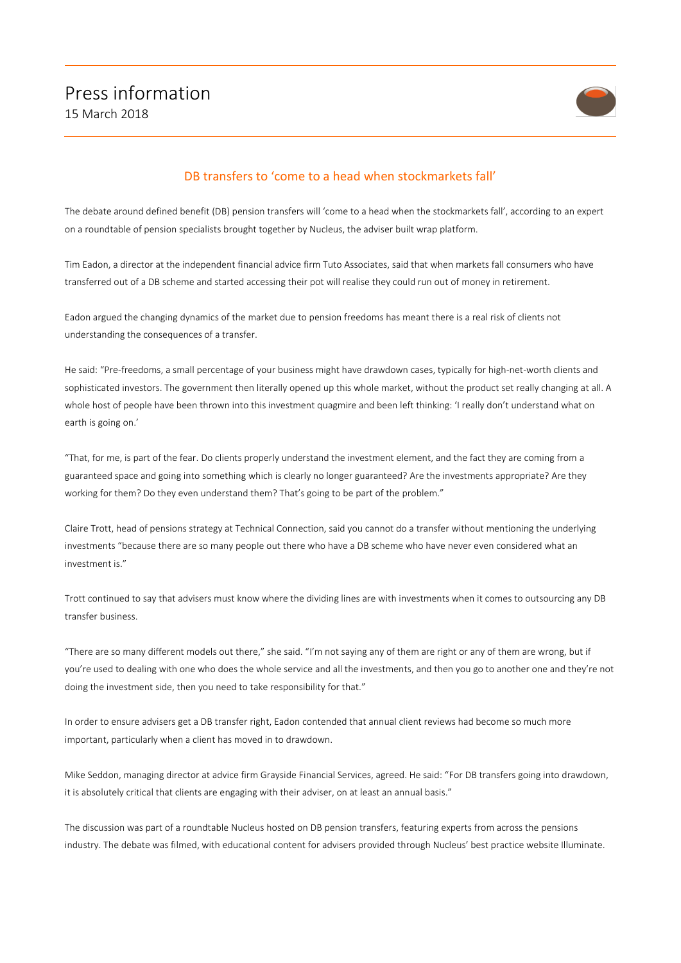

## DB transfers to 'come to a head when stockmarkets fall'

The debate around defined benefit (DB) pension transfers will 'come to a head when the stockmarkets fall', according to an expert on a roundtable of pension specialists brought together by Nucleus, the adviser built wrap platform.

Tim Eadon, a director at the independent financial advice firm Tuto Associates, said that when markets fall consumers who have transferred out of a DB scheme and started accessing their pot will realise they could run out of money in retirement.

Eadon argued the changing dynamics of the market due to pension freedoms has meant there is a real risk of clients not understanding the consequences of a transfer.

He said: "Pre-freedoms, a small percentage of your business might have drawdown cases, typically for high-net-worth clients and sophisticated investors. The government then literally opened up this whole market, without the product set really changing at all. A whole host of people have been thrown into this investment quagmire and been left thinking: 'I really don't understand what on earth is going on.'

"That, for me, is part of the fear. Do clients properly understand the investment element, and the fact they are coming from a guaranteed space and going into something which is clearly no longer guaranteed? Are the investments appropriate? Are they working for them? Do they even understand them? That's going to be part of the problem."

Claire Trott, head of pensions strategy at Technical Connection, said you cannot do a transfer without mentioning the underlying investments "because there are so many people out there who have a DB scheme who have never even considered what an investment is."

Trott continued to say that advisers must know where the dividing lines are with investments when it comes to outsourcing any DB transfer business.

"There are so many different models out there," she said. "I'm not saying any of them are right or any of them are wrong, but if you're used to dealing with one who does the whole service and all the investments, and then you go to another one and they're not doing the investment side, then you need to take responsibility for that."

In order to ensure advisers get a DB transfer right, Eadon contended that annual client reviews had become so much more important, particularly when a client has moved in to drawdown.

Mike Seddon, managing director at advice firm Grayside Financial Services, agreed. He said: "For DB transfers going into drawdown, it is absolutely critical that clients are engaging with their adviser, on at least an annual basis."

The discussion was part of a roundtable Nucleus hosted on DB pension transfers, featuring experts from across the pensions industry. The debate was filmed, with educational content for advisers provided through Nucleus' best practice website Illuminate.